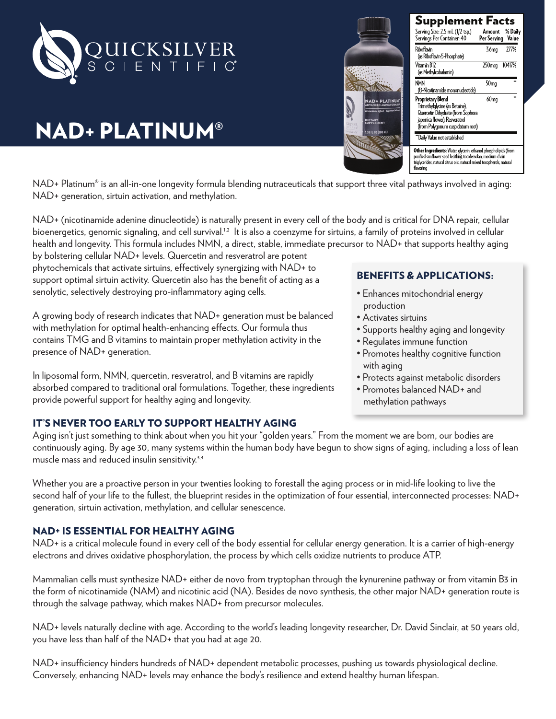

# NAD+ PLATINUM®



NAD+ Platinum<sup>®</sup> is an all-in-one longevity formula blending nutraceuticals that support three vital pathways involved in aging: NAD+ generation, sirtuin activation, and methylation.

NAD+ (nicotinamide adenine dinucleotide) is naturally present in every cell of the body and is critical for DNA repair, cellular bioenergetics, genomic signaling, and cell survival.<sup>1,2</sup> It is also a coenzyme for sirtuins, a family of proteins involved in cellular health and longevity. This formula includes NMN, a direct, stable, immediate precursor to NAD+ that supports healthy aging

by bolstering cellular NAD+ levels. Quercetin and resveratrol are potent phytochemicals that activate sirtuins, effectively synergizing with NAD+ to support optimal sirtuin activity. Quercetin also has the benefit of acting as a senolytic, selectively destroying pro-inflammatory aging cells.

A growing body of research indicates that NAD+ generation must be balanced with methylation for optimal health-enhancing effects. Our formula thus contains TMG and B vitamins to maintain proper methylation activity in the presence of NAD+ generation.

In liposomal form, NMN, quercetin, resveratrol, and B vitamins are rapidly absorbed compared to traditional oral formulations. Together, these ingredients provide powerful support for healthy aging and longevity.

# BENEFITS & APPLICATIONS:

- Enhances mitochondrial energy production
- Activates sirtuins
- Supports healthy aging and longevity
	- Regulates immune function
	- Promotes healthy cognitive function with aging
	- Protects against metabolic disorders
	- Promotes balanced NAD+ and methylation pathways

### IT'S NEVER TOO EARLY TO SUPPORT HEALTHY AGING

Aging isn't just something to think about when you hit your "golden years." From the moment we are born, our bodies are continuously aging. By age 30, many systems within the human body have begun to show signs of aging, including a loss of lean muscle mass and reduced insulin sensitivity.<sup>3,4</sup>

Whether you are a proactive person in your twenties looking to forestall the aging process or in mid-life looking to live the second half of your life to the fullest, the blueprint resides in the optimization of four essential, interconnected processes: NAD+ generation, sirtuin activation, methylation, and cellular senescence.

### NAD+ IS ESSENTIAL FOR HEALTHY AGING

NAD+ is a critical molecule found in every cell of the body essential for cellular energy generation. It is a carrier of high-energy electrons and drives oxidative phosphorylation, the process by which cells oxidize nutrients to produce ATP.

Mammalian cells must synthesize NAD+ either de novo from tryptophan through the kynurenine pathway or from vitamin B3 in the form of nicotinamide (NAM) and nicotinic acid (NA). Besides de novo synthesis, the other major NAD+ generation route is through the salvage pathway, which makes NAD+ from precursor molecules.

NAD+ levels naturally decline with age. According to the world's leading longevity researcher, Dr. David Sinclair, at 50 years old, you have less than half of the NAD+ that you had at age 20.

NAD+ insufficiency hinders hundreds of NAD+ dependent metabolic processes, pushing us towards physiological decline. Conversely, enhancing NAD+ levels may enhance the body's resilience and extend healthy human lifespan.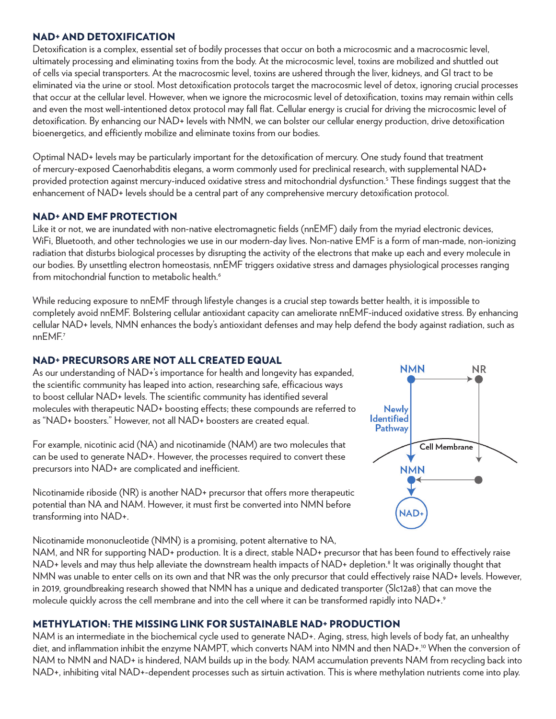#### NAD+ AND DETOXIFICATION

Detoxification is a complex, essential set of bodily processes that occur on both a microcosmic and a macrocosmic level, ultimately processing and eliminating toxins from the body. At the microcosmic level, toxins are mobilized and shuttled out of cells via special transporters. At the macrocosmic level, toxins are ushered through the liver, kidneys, and GI tract to be eliminated via the urine or stool. Most detoxification protocols target the macrocosmic level of detox, ignoring crucial processes that occur at the cellular level. However, when we ignore the microcosmic level of detoxification, toxins may remain within cells and even the most well-intentioned detox protocol may fall flat. Cellular energy is crucial for driving the microcosmic level of detoxification. By enhancing our NAD+ levels with NMN, we can bolster our cellular energy production, drive detoxification bioenergetics, and efficiently mobilize and eliminate toxins from our bodies.

Optimal NAD+ levels may be particularly important for the detoxification of mercury. One study found that treatment of mercury-exposed Caenorhabditis elegans, a worm commonly used for preclinical research, with supplemental NAD+ provided protection against mercury-induced oxidative stress and mitochondrial dysfunction.5 These findings suggest that the enhancement of NAD+ levels should be a central part of any comprehensive mercury detoxification protocol.

### NAD+ AND EMF PROTECTION

Like it or not, we are inundated with non-native electromagnetic fields (nnEMF) daily from the myriad electronic devices, WiFi, Bluetooth, and other technologies we use in our modern-day lives. Non-native EMF is a form of man-made, non-ionizing radiation that disturbs biological processes by disrupting the activity of the electrons that make up each and every molecule in our bodies. By unsettling electron homeostasis, nnEMF triggers oxidative stress and damages physiological processes ranging from mitochondrial function to metabolic health.<sup>6</sup>

While reducing exposure to nnEMF through lifestyle changes is a crucial step towards better health, it is impossible to completely avoid nnEMF. Bolstering cellular antioxidant capacity can ameliorate nnEMF-induced oxidative stress. By enhancing cellular NAD+ levels, NMN enhances the body's antioxidant defenses and may help defend the body against radiation, such as nnEMF.7

### NAD+ PRECURSORS ARE NOT ALL CREATED EQUAL

As our understanding of NAD+'s importance for health and longevity has expanded, the scientific community has leaped into action, researching safe, efficacious ways to boost cellular NAD+ levels. The scientific community has identified several molecules with therapeutic NAD+ boosting effects; these compounds are referred to as "NAD+ boosters." However, not all NAD+ boosters are created equal.

For example, nicotinic acid (NA) and nicotinamide (NAM) are two molecules that can be used to generate NAD+. However, the processes required to convert these precursors into NAD+ are complicated and inefficient.



Nicotinamide riboside (NR) is another NAD+ precursor that offers more therapeutic potential than NA and NAM. However, it must first be converted into NMN before transforming into NAD+.

Nicotinamide mononucleotide (NMN) is a promising, potent alternative to NA, NAM, and NR for supporting NAD+ production. It is a direct, stable NAD+ precursor that has been found to effectively raise NAD+ levels and may thus help alleviate the downstream health impacts of NAD+ depletion.<sup>8</sup> It was originally thought that NMN was unable to enter cells on its own and that NR was the only precursor that could effectively raise NAD+ levels. However,

# in 2019, groundbreaking research showed that NMN has a unique and dedicated transporter (Slc12a8) that can move the molecule quickly across the cell membrane and into the cell where it can be transformed rapidly into NAD+.<sup>9</sup>

# METHYLATION: THE MISSING LINK FOR SUSTAINABLE NAD+ PRODUCTION

NAM is an intermediate in the biochemical cycle used to generate NAD+. Aging, stress, high levels of body fat, an unhealthy diet, and inflammation inhibit the enzyme NAMPT, which converts NAM into NMN and then NAD+.<sup>10</sup> When the conversion of NAM to NMN and NAD+ is hindered, NAM builds up in the body. NAM accumulation prevents NAM from recycling back into NAD+, inhibiting vital NAD+-dependent processes such as sirtuin activation. This is where methylation nutrients come into play.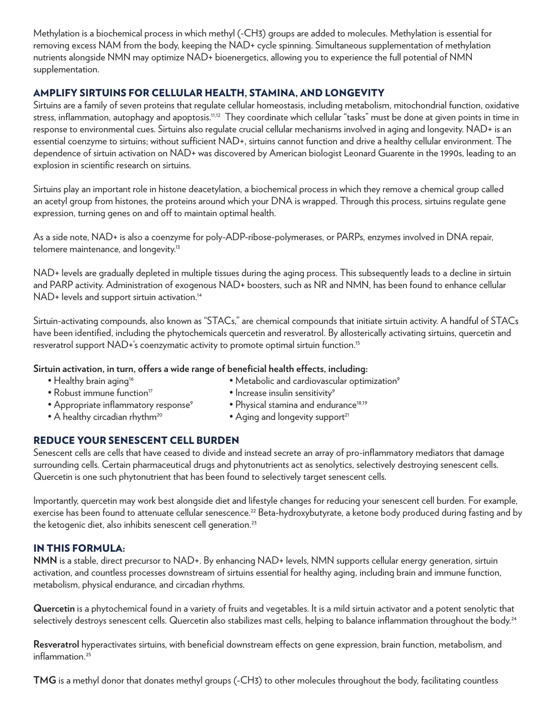Methylation is a biochemical process in which methyl (-CH3) groups are added to molecules. Methylation is essential for removing excess NAM from the body, keeping the NAD+ cycle spinning. Simultaneous supplementation of methylation nutrients alongside NMN may optimize NAD+ bioenergetics, allowing you to experience the full potential of NMN supplementation.

### AMPLIFY SIRTUINS FOR CELLULAR HEALTH, STAMINA, AND LONGEVITY

Sirtuins are a family of seven proteins that regulate cellular homeostasis, including metabolism, mitochondrial function, oxidative stress, inflammation, autophagy and apoptosis.11,12 They coordinate which cellular "tasks" must be done at given points in time in response to environmental cues. Sirtuins also regulate crucial cellular mechanisms involved in aging and longevity. NAD+ is an essential coenzyme to sirtuins; without sufficient NAD+, sirtuins cannot function and drive a healthy cellular environment. The dependence of sirtuin activation on NAD+ was discovered by American biologist Leonard Guarente in the 1990s, leading to an explosion in scientific research on sirtuins.

Sirtuins play an important role in histone deacetylation, a biochemical process in which they remove a chemical group called an acetyl group from histones, the proteins around which your DNA is wrapped. Through this process, sirtuins regulate gene expression, turning genes on and off to maintain optimal health.

As a side note, NAD+ is also a coenzyme for poly-ADP-ribose-polymerases, or PARPs, enzymes involved in DNA repair, telomere maintenance, and longevity.<sup>13</sup>

NAD+ levels are gradually depleted in multiple tissues during the aging process. This subsequently leads to a decline in sirtuin and PARP activity. Administration of exogenous NAD+ boosters, such as NR and NMN, has been found to enhance cellular NAD+ levels and support sirtuin activation.<sup>14</sup>

Sirtuin-activating compounds, also known as "STACs," are chemical compounds that initiate sirtuin activity. A handful of STACs have been identified, including the phytochemicals quercetin and resveratrol. By allosterically activating sirtuins, quercetin and resveratrol support NAD+'s coenzymatic activity to promote optimal sirtuin function.<sup>15</sup>

### **Sirtuin activation, in turn, offers a wide range of beneficial health effects, including:**

- Healthy brain aging<sup>16</sup> Metabolic and cardiovascular optimization<sup>9</sup>
- Robust immune function<sup>17</sup> Increase insulin sensitivity<sup>9</sup>
- Appropriate inflammatory response<sup>9</sup> Physical stamina and endurance<sup>18,19</sup>
- 
- 
- 
- A healthy circadian rhythm<sup>20</sup> Aging and longevity support<sup>21</sup>

# REDUCE YOUR SENESCENT CELL BURDEN

Senescent cells are cells that have ceased to divide and instead secrete an array of pro-inflammatory mediators that damage surrounding cells. Certain pharmaceutical drugs and phytonutrients act as senolytics, selectively destroying senescent cells. Quercetin is one such phytonutrient that has been found to selectively target senescent cells.

Importantly, quercetin may work best alongside diet and lifestyle changes for reducing your senescent cell burden. For example, exercise has been found to attenuate cellular senescence.<sup>22</sup> Beta-hydroxybutyrate, a ketone body produced during fasting and by the ketogenic diet, also inhibits senescent cell generation.<sup>23</sup>

### IN THIS FORMULA:

**NMN** is a stable, direct precursor to NAD+. By enhancing NAD+ levels, NMN supports cellular energy generation, sirtuin activation, and countless processes downstream of sirtuins essential for healthy aging, including brain and immune function, metabolism, physical endurance, and circadian rhythms.

**Quercetin** is a phytochemical found in a variety of fruits and vegetables. It is a mild sirtuin activator and a potent senolytic that selectively destroys senescent cells. Quercetin also stabilizes mast cells, helping to balance inflammation throughout the body.<sup>24</sup>

**Resveratrol** hyperactivates sirtuins, with beneficial downstream effects on gene expression, brain function, metabolism, and inflammation.<sup>25</sup>

**TMG** is a methyl donor that donates methyl groups (-CH3) to other molecules throughout the body, facilitating countless